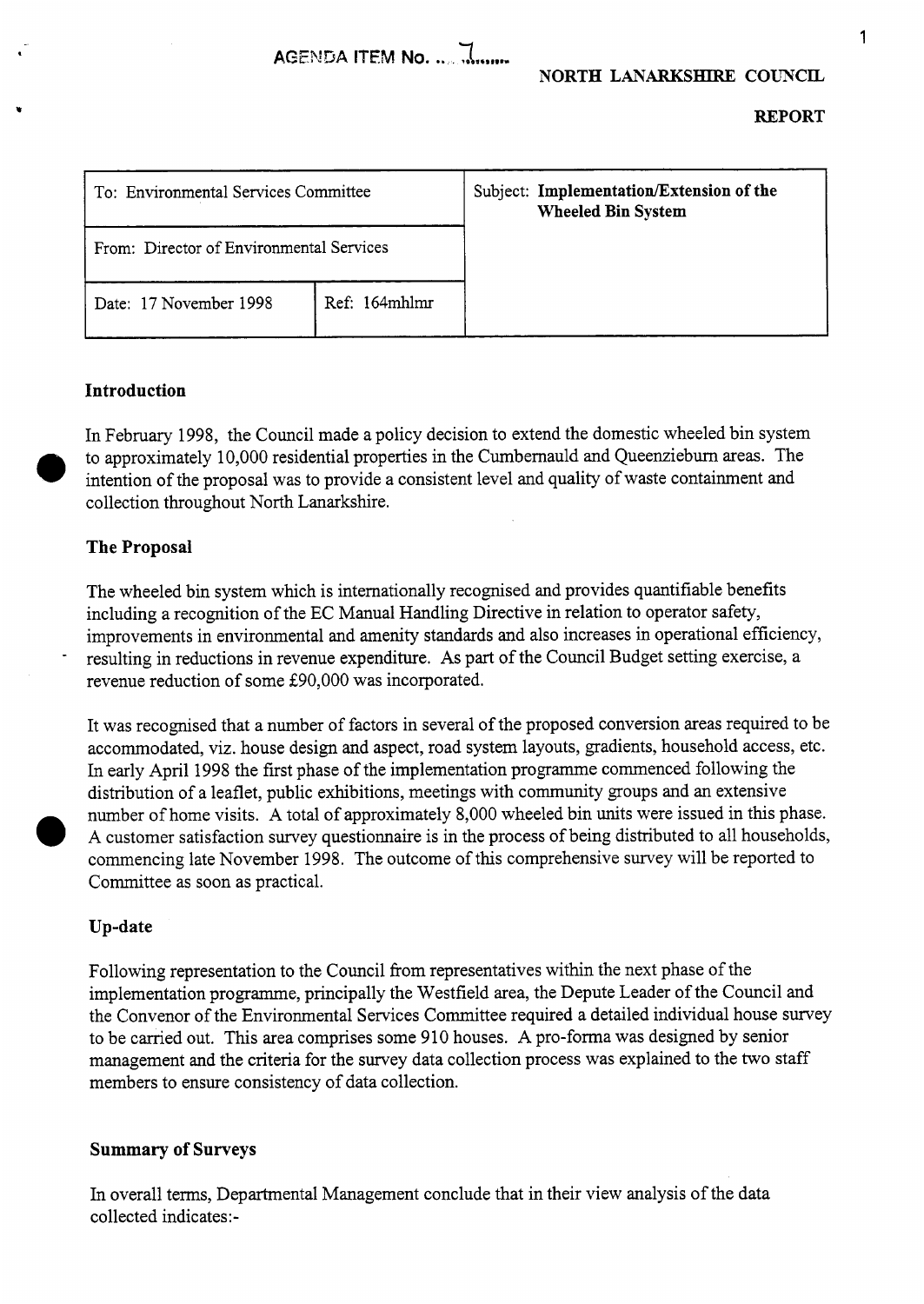**REPORT** 

**I** 

| To: Environmental Services Committee     |               | Subject: Implementation/Extension of the<br><b>Wheeled Bin System</b> |
|------------------------------------------|---------------|-----------------------------------------------------------------------|
| From: Director of Environmental Services |               |                                                                       |
| Date: 17 November 1998                   | Ref: 164mhlmr |                                                                       |

## **Introduction**

In February 1998, the Council made a policy decision to extend the domestic wheeled bin system to approximately 10,000 residential properties in the Cumbernauld and Queenzieburn areas. The collection throughout North Lanarkshire. intention of the proposal was to provide a consistent level and quality of waste containment and

## **The Proposal**

-

The wheeled bin system which is internationally recognised and provides quantifiable benefits including a recognition of the EC Manual Handling Directive in relation to operator safety, improvements in environmental and amenity standards and also increases in operational efficiency, resulting in reductions in revenue expenditure. As part of the Council Budget setting exercise, a revenue reduction of some E90,OOO was incorporated.

It was recognised that a number of factors in several of the proposed conversion areas required to be accommodated, viz. house design and aspect, road system layouts, gradients, household access, etc. In early April 1998 the first phase of the implementation programme commenced following the distribution of a leaflet, public exhibitions, meetings with community groups and an extensive number of home visits. A total of approximately 8,000 wheeled bin units were issued in this phase. **A** customer satisfaction survey questionnaire is in the process of being distributed to all households, commencing late November 1998. The outcome of ths comprehensive survey will be reported to Committee as soon as practical.

#### **Up-date**

Following representation to the Council from representatives within the next phase of the implementation programme, principally the Westfield area, the Depute Leader of the Council and the Convenor of the Environmental Services Committee required a detailed individual house survey to be carried out. This area comprises some 910 houses. A pro-forma was designed by senior management and the criteria for the survey data collection process was explained to the two staff members to ensure consistency of data collection.

#### **Summary of Surveys**

In overall terms, Departmental Management conclude that in their view analysis of the data collected indicates:-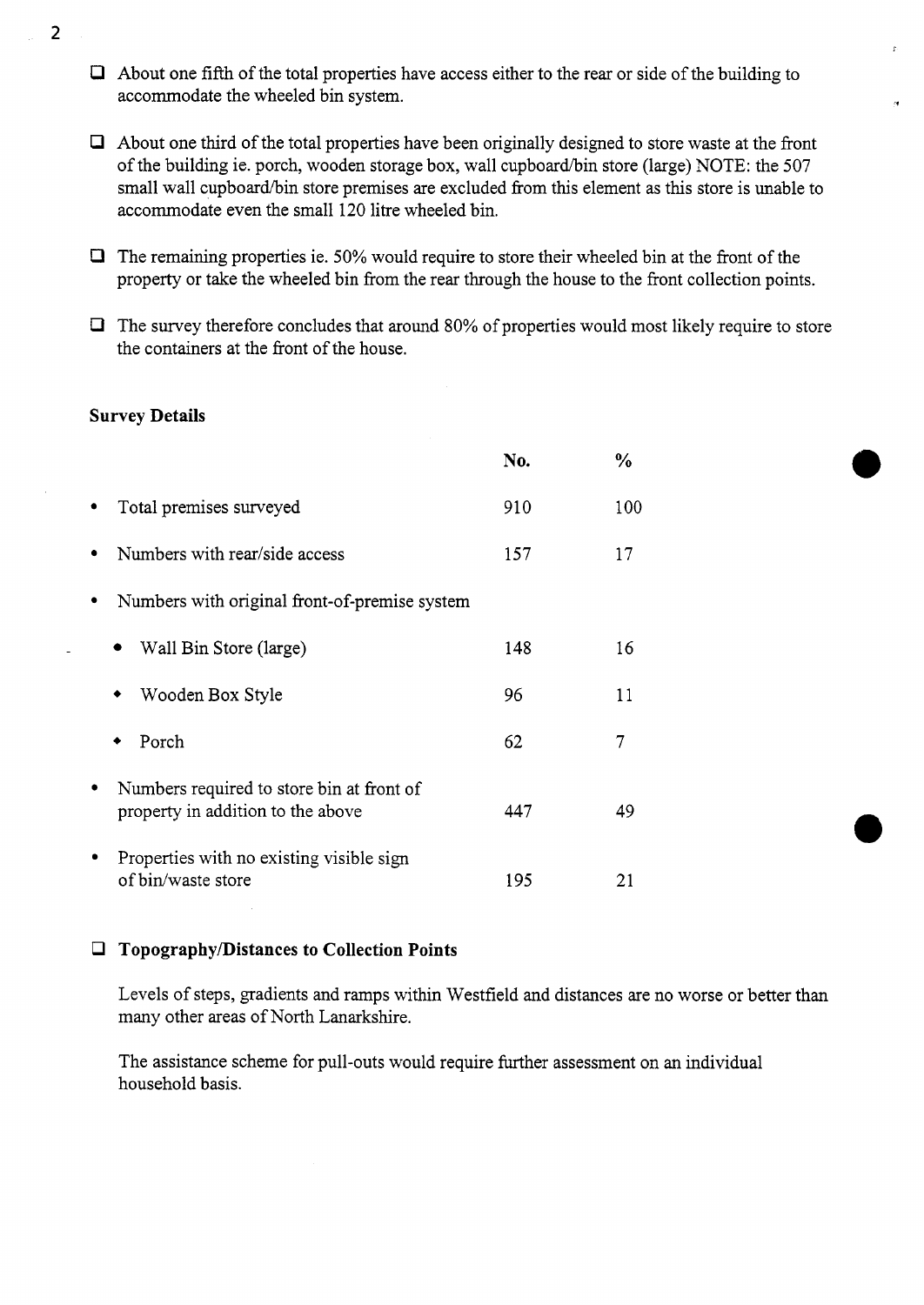- *0* About one fifth of the total properties have access either to the rear or side of the building to accommodate the wheeled bin system.
- *0* About one third of the total properties have been originally designed to store waste at the front of the building ie. porch, wooden storage box, wall cupboard/bin store (large) NOTE: the 507 small wall cupboard/bin store premises are excluded from this element as this store is unable to accommodate even the small 120 litre wheeled bin.
- *0* The remaining properties ie. 50% would require to store their wheeled bin at the front of the property or take the wheeled bin from the rear through the house to the front collection points.
- *0* The survey therefore concludes that around 80% of properties would most likely require to store the containers at the front of the house.

### **Survey Details**

|                                                                                | No. | $\frac{0}{0}$ |
|--------------------------------------------------------------------------------|-----|---------------|
| Total premises surveyed                                                        | 910 | 100           |
| Numbers with rear/side access                                                  | 157 | 17            |
| Numbers with original front-of-premise system                                  |     |               |
| Wall Bin Store (large)                                                         | 148 | 16            |
| Wooden Box Style                                                               | 96  | 11            |
| Porch                                                                          | 62  | 7             |
| Numbers required to store bin at front of<br>property in addition to the above | 447 | 49            |
| Properties with no existing visible sign<br>of bin/waste store                 | 195 | 21            |

## *0* **Topography/Distances to Collection Points**

Levels of steps, gradients and ramps within Westfield and distances are no worse or better than many other areas of North Lanarkshire.

The assistance scheme for pull-outs would require further assessment on an individual household basis.